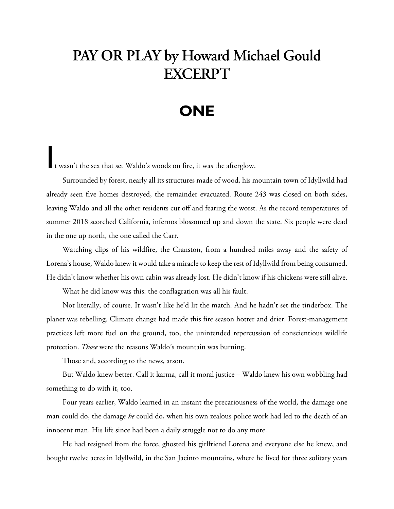## **PAY OR PLAY by Howard Michael Gould EXCERPT**

## **ONE**

It wasn't the sex that set Waldo's woods on fire, it was the afterglow.

Surrounded by forest, nearly all its structures made of wood, his mountain town of Idyllwild had already seen five homes destroyed, the remainder evacuated. Route 243 was closed on both sides, leaving Waldo and all the other residents cut off and fearing the worst. As the record temperatures of summer 2018 scorched California, infernos blossomed up and down the state. Six people were dead in the one up north, the one called the Carr.

Watching clips of his wildfire, the Cranston, from a hundred miles away and the safety of Lorena's house, Waldo knew it would take a miracle to keep the rest of Idyllwild from being consumed. He didn't know whether his own cabin was already lost. He didn't know if his chickens were still alive.

What he did know was this: the conflagration was all his fault.

Not literally, of course. It wasn't like he'd lit the match. And he hadn't set the tinderbox. The planet was rebelling. Climate change had made this fire season hotter and drier. Forest-management practices left more fuel on the ground, too, the unintended repercussion of conscientious wildlife protection. *Those* were the reasons Waldo's mountain was burning.

Those and, according to the news, arson.

But Waldo knew better. Call it karma, call it moral justice – Waldo knew his own wobbling had something to do with it, too.

Four years earlier, Waldo learned in an instant the precariousness of the world, the damage one man could do, the damage *he* could do, when his own zealous police work had led to the death of an innocent man. His life since had been a daily struggle not to do any more.

He had resigned from the force, ghosted his girlfriend Lorena and everyone else he knew, and bought twelve acres in Idyllwild, in the San Jacinto mountains, where he lived for three solitary years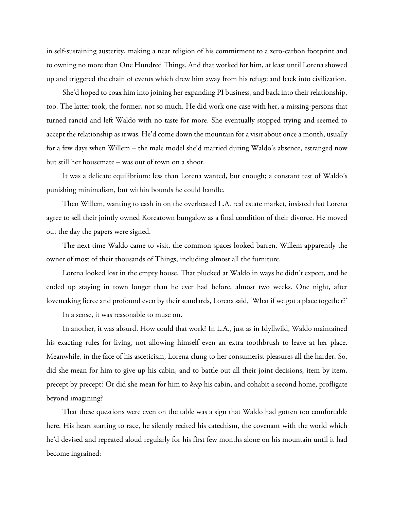in self-sustaining austerity, making a near religion of his commitment to a zero-carbon footprint and to owning no more than One Hundred Things. And that worked for him, at least until Lorena showed up and triggered the chain of events which drew him away from his refuge and back into civilization.

She'd hoped to coax him into joining her expanding PI business, and back into their relationship, too. The latter took; the former, not so much. He did work one case with her, a missing-persons that turned rancid and left Waldo with no taste for more. She eventually stopped trying and seemed to accept the relationship as it was. He'd come down the mountain for a visit about once a month, usually for a few days when Willem – the male model she'd married during Waldo's absence, estranged now but still her housemate – was out of town on a shoot.

It was a delicate equilibrium: less than Lorena wanted, but enough; a constant test of Waldo's punishing minimalism, but within bounds he could handle.

Then Willem, wanting to cash in on the overheated L.A. real estate market, insisted that Lorena agree to sell their jointly owned Koreatown bungalow as a final condition of their divorce. He moved out the day the papers were signed.

The next time Waldo came to visit, the common spaces looked barren, Willem apparently the owner of most of their thousands of Things, including almost all the furniture.

Lorena looked lost in the empty house. That plucked at Waldo in ways he didn't expect, and he ended up staying in town longer than he ever had before, almost two weeks. One night, after lovemaking fierce and profound even by their standards, Lorena said, 'What if we got a place together?'

In a sense, it was reasonable to muse on.

In another, it was absurd. How could that work? In L.A., just as in Idyllwild, Waldo maintained his exacting rules for living, not allowing himself even an extra toothbrush to leave at her place. Meanwhile, in the face of his asceticism, Lorena clung to her consumerist pleasures all the harder. So, did she mean for him to give up his cabin, and to battle out all their joint decisions, item by item, precept by precept? Or did she mean for him to *keep* his cabin, and cohabit a second home, profligate beyond imagining?

That these questions were even on the table was a sign that Waldo had gotten too comfortable here. His heart starting to race, he silently recited his catechism, the covenant with the world which he'd devised and repeated aloud regularly for his first few months alone on his mountain until it had become ingrained: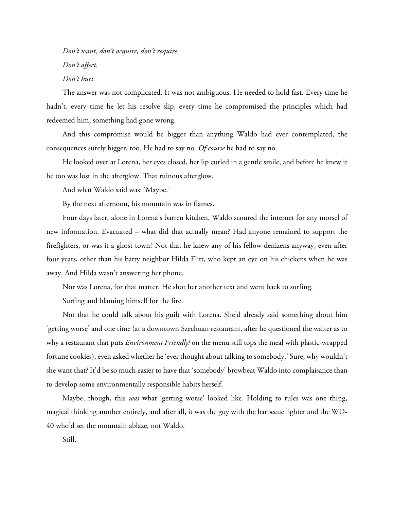*Don't want, don't acquire, don't require. Don't affect. Don't hurt.*

The answer was not complicated. It was not ambiguous. He needed to hold fast. Every time he hadn't, every time he let his resolve slip, every time he compromised the principles which had redeemed him, something had gone wrong.

And this compromise would be bigger than anything Waldo had ever contemplated, the consequences surely bigger, too. He had to say no*. Of course* he had to say no.

He looked over at Lorena, her eyes closed, her lip curled in a gentle smile, and before he knew it he too was lost in the afterglow. That ruinous afterglow.

And what Waldo said was: 'Maybe.'

By the next afternoon, his mountain was in flames.

Four days later, alone in Lorena's barren kitchen, Waldo scoured the internet for any morsel of new information. Evacuated – what did that actually mean? Had anyone remained to support the firefighters, or was it a ghost town? Not that he knew any of his fellow denizens anyway, even after four years, other than his batty neighbor Hilda Flitt, who kept an eye on his chickens when he was away. And Hilda wasn't answering her phone.

Nor was Lorena, for that matter. He shot her another text and went back to surfing.

Surfing and blaming himself for the fire.

Not that he could talk about his guilt with Lorena. She'd already said something about him 'getting worse' and one time (at a downtown Szechuan restaurant, after he questioned the waiter as to why a restaurant that puts *Environment Friendly!* on the menu still tops the meal with plastic-wrapped fortune cookies), even asked whether he 'ever thought about talking to somebody.' Sure, why wouldn't she want that? It'd be so much easier to have that 'somebody' browbeat Waldo into complaisance than to develop some environmentally responsible habits herself.

Maybe, though, this *was* what 'getting worse' looked like. Holding to rules was one thing, magical thinking another entirely, and after all, it was the guy with the barbecue lighter and the WD-40 who'd set the mountain ablaze, not Waldo.

Still.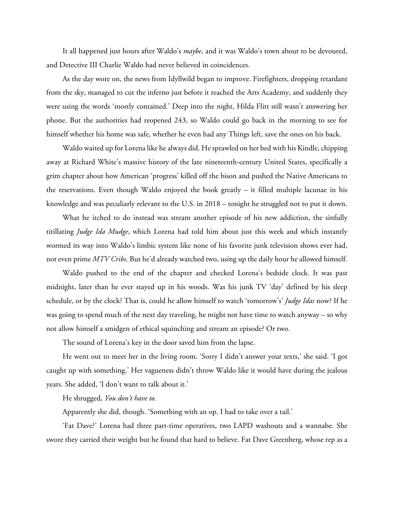It all happened just hours after Waldo's *maybe*, and it was Waldo's town about to be devoured, and Detective III Charlie Waldo had never believed in coincidences.

As the day wore on, the news from Idyllwild began to improve. Firefighters, dropping retardant from the sky, managed to cut the inferno just before it reached the Arts Academy, and suddenly they were using the words 'mostly contained.' Deep into the night, Hilda Flitt still wasn't answering her phone. But the authorities had reopened 243, so Waldo could go back in the morning to see for himself whether his home was safe, whether he even had any Things left, save the ones on his back.

Waldo waited up for Lorena like he always did. He sprawled on her bed with his Kindle, chipping away at Richard White's massive history of the late nineteenth-century United States, specifically a grim chapter about how American 'progress' killed off the bison and pushed the Native Americans to the reservations. Even though Waldo enjoyed the book greatly – it filled multiple lacunae in his knowledge and was peculiarly relevant to the U.S. in 2018 – tonight he struggled not to put it down.

What he itched to do instead was stream another episode of his new addiction, the sinfully titillating *Judge Ida Mudge*, which Lorena had told him about just this week and which instantly wormed its way into Waldo's limbic system like none of his favorite junk television shows ever had, not even prime *MTV Cribs*. But he'd already watched two, using up the daily hour he allowed himself.

Waldo pushed to the end of the chapter and checked Lorena's bedside clock. It was past midnight, later than he ever stayed up in his woods. Was his junk TV 'day' defined by his sleep schedule, or by the clock? That is, could he allow himself to watch 'tomorrow's' *Judge Idas* now? If he was going to spend much of the next day traveling, he might not have time to watch anyway – so why not allow himself a smidgen of ethical squinching and stream an episode? Or two.

The sound of Lorena's key in the door saved him from the lapse.

He went out to meet her in the living room. 'Sorry I didn't answer your texts,' she said. 'I got caught up with something.' Her vagueness didn't throw Waldo like it would have during the jealous years. She added, 'I don't want to talk about it.'

He shrugged, *You don't have to.*

Apparently she did, though. 'Something with an op. I had to take over a tail.'

'Fat Dave?' Lorena had three part-time operatives, two LAPD washouts and a wannabe. She swore they carried their weight but he found that hard to believe. Fat Dave Greenberg, whose rep as a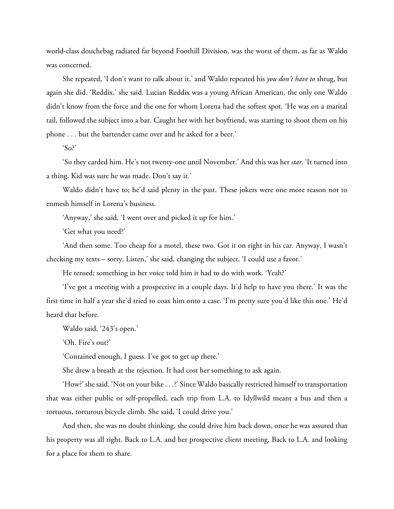world-class douchebag radiated far beyond Foothill Division, was the worst of them, as far as Waldo was concerned.

She repeated, 'I don't want to talk about it,' and Waldo repeated his *you don't have to* shrug, but again she did. 'Reddix,' she said. Lucian Reddix was a young African American, the only one Waldo didn't know from the force and the one for whom Lorena had the softest spot. 'He was on a marital tail, followed the subject into a bar. Caught her with her boyfriend, was starting to shoot them on his phone . . . but the bartender came over and he asked for a beer.'

'So?'

'So they carded him. He's not twenty-one until November.' And this was her *star*. 'It turned into a thing. Kid was sure he was made. Don't say it.'

Waldo didn't have to; he'd said plenty in the past. These jokers were one more reason not to enmesh himself in Lorena's business.

'Anyway,' she said, 'I went over and picked it up for him.'

'Get what you need?'

'And then some. Too cheap for a motel, these two. Got it on right in his car. Anyway, I wasn't checking my texts – sorry. Listen,' she said, changing the subject, 'I could use a favor.'

He tensed; something in her voice told him it had to do with work. 'Yeah?'

'I've got a meeting with a prospective in a couple days. It'd help to have you there.' It was the first time in half a year she'd tried to coax him onto a case. 'I'm pretty sure you'd like this one.' He'd heard that before.

Waldo said, '243's open.'

'Oh. Fire's out?'

'Contained enough, I guess. I've got to get up there.'

She drew a breath at the rejection. It had cost her something to ask again.

'How?' she said. 'Not on your bike . . .?' Since Waldo basically restricted himself to transportation that was either public or self-propelled, each trip from L.A. to Idyllwild meant a bus and then a tortuous, torturous bicycle climb. She said, 'I could drive you.'

And then, she was no doubt thinking, she could drive him back down, once he was assured that his property was all right. Back to L.A. and her prospective client meeting. Back to L.A. and looking for a place for them to share.